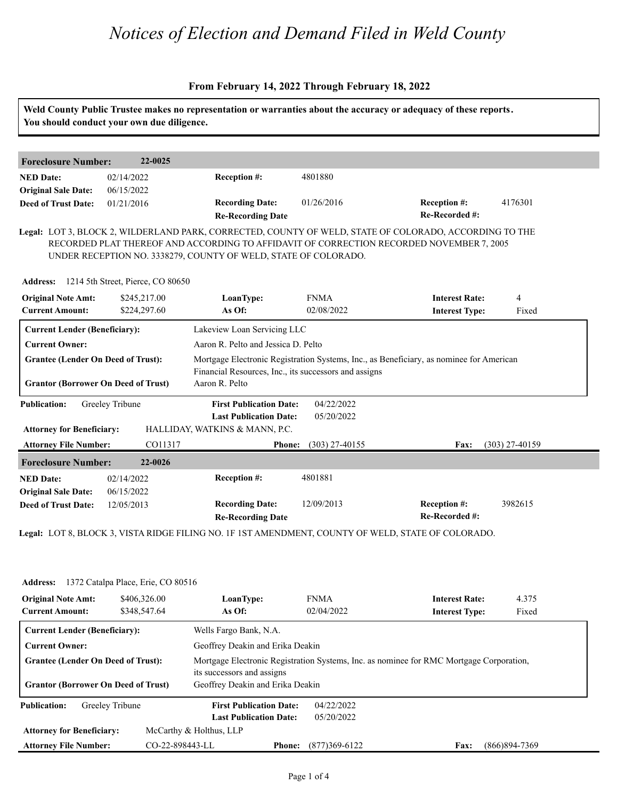### **From February 14, 2022 Through February 18, 2022**

| <b>Foreclosure Number:</b>                                                              | 22-0025                                    |                                                                                                                                                                                                                                                                       |                          |                                                                                         |                  |  |
|-----------------------------------------------------------------------------------------|--------------------------------------------|-----------------------------------------------------------------------------------------------------------------------------------------------------------------------------------------------------------------------------------------------------------------------|--------------------------|-----------------------------------------------------------------------------------------|------------------|--|
| <b>NED Date:</b>                                                                        | 02/14/2022                                 | Reception #:                                                                                                                                                                                                                                                          | 4801880                  |                                                                                         |                  |  |
| <b>Original Sale Date:</b>                                                              | 06/15/2022                                 | <b>Recording Date:</b>                                                                                                                                                                                                                                                | 01/26/2016               | Reception #:                                                                            | 4176301          |  |
| <b>Deed of Trust Date:</b>                                                              | 01/21/2016                                 | <b>Re-Recording Date</b>                                                                                                                                                                                                                                              |                          | Re-Recorded #:                                                                          |                  |  |
|                                                                                         | Address: 1214 5th Street, Pierce, CO 80650 | Legal: LOT 3, BLOCK 2, WILDERLAND PARK, CORRECTED, COUNTY OF WELD, STATE OF COLORADO, ACCORDING TO THE<br>RECORDED PLAT THEREOF AND ACCORDING TO AFFIDAVIT OF CORRECTION RECORDED NOVEMBER 7, 2005<br>UNDER RECEPTION NO. 3338279, COUNTY OF WELD, STATE OF COLORADO. |                          |                                                                                         |                  |  |
| <b>Original Note Amt:</b>                                                               | \$245,217.00                               | LoanType:                                                                                                                                                                                                                                                             | <b>FNMA</b>              | <b>Interest Rate:</b>                                                                   | $\overline{4}$   |  |
| <b>Current Amount:</b>                                                                  | \$224,297.60                               | As Of:                                                                                                                                                                                                                                                                | 02/08/2022               | <b>Interest Type:</b>                                                                   | Fixed            |  |
| <b>Current Lender (Beneficiary):</b>                                                    |                                            | Lakeview Loan Servicing LLC                                                                                                                                                                                                                                           |                          |                                                                                         |                  |  |
| <b>Current Owner:</b>                                                                   |                                            | Aaron R. Pelto and Jessica D. Pelto                                                                                                                                                                                                                                   |                          |                                                                                         |                  |  |
|                                                                                         |                                            |                                                                                                                                                                                                                                                                       |                          |                                                                                         |                  |  |
| <b>Grantee (Lender On Deed of Trust):</b><br><b>Grantor (Borrower On Deed of Trust)</b> |                                            | Financial Resources, Inc., its successors and assigns<br>Aaron R. Pelto                                                                                                                                                                                               |                          | Mortgage Electronic Registration Systems, Inc., as Beneficiary, as nominee for American |                  |  |
| <b>Publication:</b>                                                                     | Greeley Tribune                            | <b>First Publication Date:</b><br><b>Last Publication Date:</b>                                                                                                                                                                                                       | 04/22/2022<br>05/20/2022 |                                                                                         |                  |  |
| <b>Attorney for Beneficiary:</b>                                                        |                                            | HALLIDAY, WATKINS & MANN, P.C.                                                                                                                                                                                                                                        |                          |                                                                                         |                  |  |
| <b>Attorney File Number:</b>                                                            | CO11317                                    | <b>Phone:</b>                                                                                                                                                                                                                                                         | $(303)$ 27-40155         | Fax:                                                                                    | $(303)$ 27-40159 |  |
| <b>Foreclosure Number:</b>                                                              | 22-0026                                    |                                                                                                                                                                                                                                                                       |                          |                                                                                         |                  |  |
| <b>NED Date:</b><br><b>Original Sale Date:</b>                                          | 02/14/2022<br>06/15/2022                   | Reception #:                                                                                                                                                                                                                                                          | 4801881                  |                                                                                         |                  |  |

| <b>Address:</b>                            | 1372 Catalpa Place, Erie, CO 80516 |                                  |                                  |                                                                                         |                   |  |  |  |
|--------------------------------------------|------------------------------------|----------------------------------|----------------------------------|-----------------------------------------------------------------------------------------|-------------------|--|--|--|
| <b>Original Note Amt:</b>                  | \$406,326.00                       | LoanType:                        | <b>FNMA</b>                      | <b>Interest Rate:</b>                                                                   | 4.375             |  |  |  |
| <b>Current Amount:</b>                     | \$348,547.64                       | As Of:                           | 02/04/2022                       | <b>Interest Type:</b>                                                                   | Fixed             |  |  |  |
| <b>Current Lender (Beneficiary):</b>       |                                    | Wells Fargo Bank, N.A.           |                                  |                                                                                         |                   |  |  |  |
| <b>Current Owner:</b>                      |                                    |                                  | Geoffrey Deakin and Erika Deakin |                                                                                         |                   |  |  |  |
| <b>Grantee (Lender On Deed of Trust):</b>  |                                    | its successors and assigns       |                                  | Mortgage Electronic Registration Systems, Inc. as nominee for RMC Mortgage Corporation, |                   |  |  |  |
| <b>Grantor (Borrower On Deed of Trust)</b> |                                    | Geoffrey Deakin and Erika Deakin |                                  |                                                                                         |                   |  |  |  |
| <b>Publication:</b>                        | Greeley Tribune                    | <b>First Publication Date:</b>   | 04/22/2022                       |                                                                                         |                   |  |  |  |
|                                            |                                    | <b>Last Publication Date:</b>    | 05/20/2022                       |                                                                                         |                   |  |  |  |
| <b>Attorney for Beneficiary:</b>           |                                    | McCarthy & Holthus, LLP          |                                  |                                                                                         |                   |  |  |  |
| <b>Attorney File Number:</b>               | CO-22-898443-LL                    | <b>Phone:</b>                    | $(877)369 - 6122$                | <b>Fax:</b>                                                                             | $(866)894 - 7369$ |  |  |  |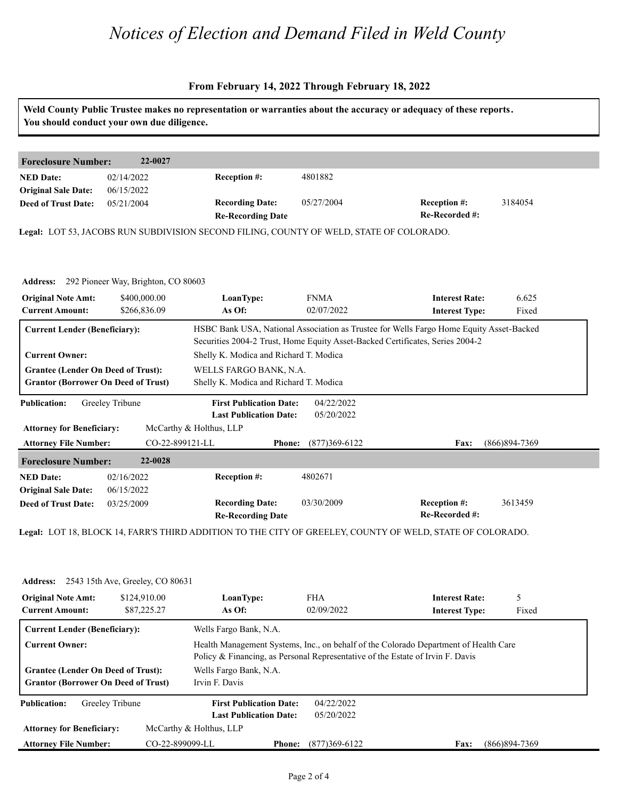### **From February 14, 2022 Through February 18, 2022**

# **Weld County Public Trustee makes no representation or warranties about the accuracy or adequacy of these reports. You should conduct your own due diligence.**

| 22-0027<br><b>Foreclosure Number:</b> |             |                                                    |            |                                       |         |  |
|---------------------------------------|-------------|----------------------------------------------------|------------|---------------------------------------|---------|--|
| <b>NED Date:</b>                      | 02/14/2022  | <b>Reception #:</b>                                | 4801882    |                                       |         |  |
| <b>Original Sale Date:</b>            | 06/15/2022  |                                                    |            |                                       |         |  |
| <b>Deed of Trust Date:</b>            | 0.5/21/2004 | <b>Recording Date:</b><br><b>Re-Recording Date</b> | 05/27/2004 | <b>Reception #:</b><br>Re-Recorded #: | 3184054 |  |

**Legal:** LOT 53, JACOBS RUN SUBDIVISION SECOND FILING, COUNTY OF WELD, STATE OF COLORADO.

|                                                                                                                  | Address: 292 Pioneer Way, Brighton, CO 80603 |                                                                                                            |                           |                                                                                                                                                                          |                 |
|------------------------------------------------------------------------------------------------------------------|----------------------------------------------|------------------------------------------------------------------------------------------------------------|---------------------------|--------------------------------------------------------------------------------------------------------------------------------------------------------------------------|-----------------|
| <b>Original Note Amt:</b><br><b>Current Amount:</b>                                                              | \$400,000.00<br>\$266,836.09                 | LoanType:<br>As Of:                                                                                        | <b>FNMA</b><br>02/07/2022 | <b>Interest Rate:</b><br><b>Interest Type:</b>                                                                                                                           | 6.625<br>Fixed  |
| <b>Current Lender (Beneficiary):</b>                                                                             |                                              |                                                                                                            |                           | HSBC Bank USA, National Association as Trustee for Wells Fargo Home Equity Asset-Backed<br>Securities 2004-2 Trust, Home Equity Asset-Backed Certificates, Series 2004-2 |                 |
| <b>Current Owner:</b><br><b>Grantee (Lender On Deed of Trust):</b><br><b>Grantor (Borrower On Deed of Trust)</b> |                                              | Shelly K. Modica and Richard T. Modica<br>WELLS FARGO BANK, N.A.<br>Shelly K. Modica and Richard T. Modica |                           |                                                                                                                                                                          |                 |
| <b>Publication:</b><br><b>Attorney for Beneficiary:</b>                                                          | Greeley Tribune                              | <b>First Publication Date:</b><br><b>Last Publication Date:</b><br>McCarthy & Holthus, LLP                 | 04/22/2022<br>05/20/2022  |                                                                                                                                                                          |                 |
| <b>Attorney File Number:</b>                                                                                     | CO-22-899121-LL                              | <b>Phone:</b>                                                                                              | $(877)369-6122$           | Fax:                                                                                                                                                                     | $(866)894-7369$ |
| <b>Foreclosure Number:</b>                                                                                       | 22-0028                                      |                                                                                                            |                           |                                                                                                                                                                          |                 |
| <b>NED Date:</b><br><b>Original Sale Date:</b>                                                                   | 02/16/2022<br>06/15/2022                     | <b>Reception #:</b>                                                                                        | 4802671                   |                                                                                                                                                                          |                 |
| <b>Deed of Trust Date:</b>                                                                                       | 03/25/2009                                   | <b>Recording Date:</b><br><b>Re-Recording Date</b>                                                         | 03/30/2009                | <b>Reception #:</b><br>Re-Recorded #:                                                                                                                                    | 3613459         |
|                                                                                                                  |                                              |                                                                                                            |                           |                                                                                                                                                                          |                 |

**Legal:** LOT 18, BLOCK 14, FARR'S THIRD ADDITION TO THE CITY OF GREELEY, COUNTY OF WELD, STATE OF COLORADO.

| <b>Address:</b> 2543 15th Ave, Greeley, CO 80631                                        |                             |                                                                                |                          |                                                                                      |                 |
|-----------------------------------------------------------------------------------------|-----------------------------|--------------------------------------------------------------------------------|--------------------------|--------------------------------------------------------------------------------------|-----------------|
| <b>Original Note Amt:</b>                                                               | \$124,910.00<br>\$87,225.27 | LoanType:<br>As Of:                                                            | <b>FHA</b><br>02/09/2022 | <b>Interest Rate:</b>                                                                | 5               |
| <b>Current Amount:</b>                                                                  |                             |                                                                                |                          | <b>Interest Type:</b>                                                                | Fixed           |
| <b>Current Lender (Beneficiary):</b>                                                    |                             | Wells Fargo Bank, N.A.                                                         |                          |                                                                                      |                 |
| <b>Current Owner:</b>                                                                   |                             |                                                                                |                          | Health Management Systems, Inc., on behalf of the Colorado Department of Health Care |                 |
|                                                                                         |                             | Policy & Financing, as Personal Representative of the Estate of Irvin F. Davis |                          |                                                                                      |                 |
| <b>Grantee (Lender On Deed of Trust):</b><br><b>Grantor (Borrower On Deed of Trust)</b> |                             | Wells Fargo Bank, N.A.                                                         |                          |                                                                                      |                 |
|                                                                                         |                             | Irvin F. Davis                                                                 |                          |                                                                                      |                 |
| <b>Publication:</b><br>Greeley Tribune                                                  |                             | <b>First Publication Date:</b>                                                 | 04/22/2022               |                                                                                      |                 |
|                                                                                         |                             | <b>Last Publication Date:</b>                                                  | 05/20/2022               |                                                                                      |                 |
| <b>Attorney for Beneficiary:</b>                                                        |                             | McCarthy & Holthus, LLP                                                        |                          |                                                                                      |                 |
| CO-22-899099-LL<br><b>Attorney File Number:</b>                                         |                             | <b>Phone:</b>                                                                  | $(877)369-6122$          | Fax:                                                                                 | $(866)894-7369$ |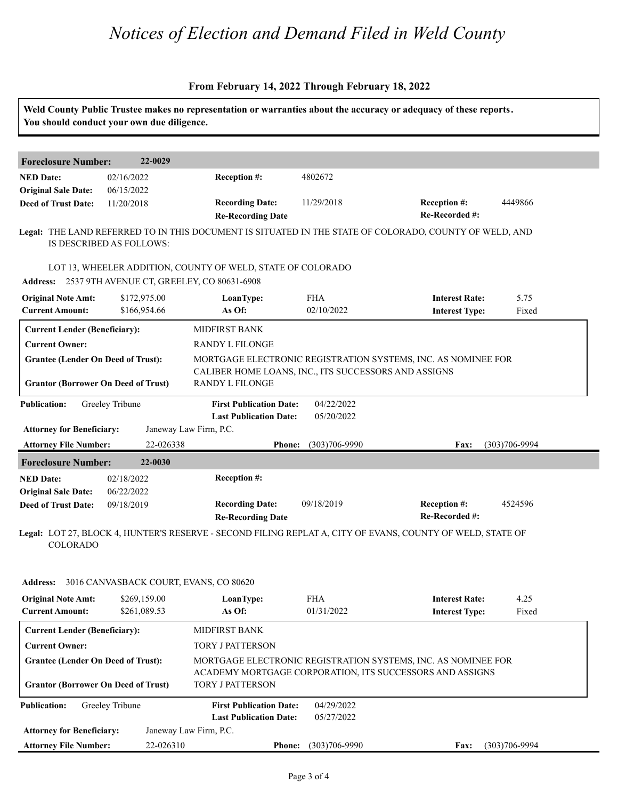### **From February 14, 2022 Through February 18, 2022**

| You should conduct your own due diligence.                                              |                                        |                                                                                                                    |                          | Weld County Public Trustee makes no representation or warranties about the accuracy or adequacy of these reports.         |                   |
|-----------------------------------------------------------------------------------------|----------------------------------------|--------------------------------------------------------------------------------------------------------------------|--------------------------|---------------------------------------------------------------------------------------------------------------------------|-------------------|
| <b>Foreclosure Number:</b>                                                              | 22-0029                                |                                                                                                                    |                          |                                                                                                                           |                   |
| <b>NED Date:</b><br><b>Original Sale Date:</b>                                          | 02/16/2022<br>06/15/2022               | Reception #:                                                                                                       | 4802672                  |                                                                                                                           |                   |
| <b>Deed of Trust Date:</b>                                                              | 11/20/2018                             | <b>Recording Date:</b><br><b>Re-Recording Date</b>                                                                 | 11/29/2018               | <b>Reception #:</b><br>Re-Recorded #:                                                                                     | 4449866           |
|                                                                                         | IS DESCRIBED AS FOLLOWS:               |                                                                                                                    |                          | Legal: THE LAND REFERRED TO IN THIS DOCUMENT IS SITUATED IN THE STATE OF COLORADO, COUNTY OF WELD, AND                    |                   |
|                                                                                         |                                        | LOT 13, WHEELER ADDITION, COUNTY OF WELD, STATE OF COLORADO<br>Address: 2537 9TH AVENUE CT, GREELEY, CO 80631-6908 |                          |                                                                                                                           |                   |
| <b>Original Note Amt:</b><br><b>Current Amount:</b>                                     | \$172,975.00<br>\$166,954.66           | LoanType:<br>As Of:                                                                                                | <b>FHA</b><br>02/10/2022 | <b>Interest Rate:</b><br><b>Interest Type:</b>                                                                            | 5.75<br>Fixed     |
| <b>Current Lender (Beneficiary):</b><br><b>Current Owner:</b>                           |                                        | MIDFIRST BANK<br>RANDY L FILONGE                                                                                   |                          |                                                                                                                           |                   |
| <b>Grantee (Lender On Deed of Trust):</b><br><b>Grantor (Borrower On Deed of Trust)</b> |                                        | CALIBER HOME LOANS, INC., ITS SUCCESSORS AND ASSIGNS<br><b>RANDY L FILONGE</b>                                     |                          | MORTGAGE ELECTRONIC REGISTRATION SYSTEMS, INC. AS NOMINEE FOR                                                             |                   |
| <b>Publication:</b>                                                                     | Greeley Tribune                        | <b>First Publication Date:</b><br><b>Last Publication Date:</b>                                                    | 04/22/2022<br>05/20/2022 |                                                                                                                           |                   |
| <b>Attorney for Beneficiary:</b><br><b>Attorney File Number:</b>                        | 22-026338                              | Janeway Law Firm, P.C.<br><b>Phone:</b>                                                                            | $(303)706 - 9990$        | Fax:                                                                                                                      | $(303)706 - 9994$ |
| <b>Foreclosure Number:</b>                                                              | 22-0030                                |                                                                                                                    |                          |                                                                                                                           |                   |
| <b>NED Date:</b>                                                                        | 02/18/2022                             | Reception #:                                                                                                       |                          |                                                                                                                           |                   |
| <b>Original Sale Date:</b><br><b>Deed of Trust Date:</b>                                | 06/22/2022<br>09/18/2019               | <b>Recording Date:</b><br><b>Re-Recording Date</b>                                                                 | 09/18/2019               | Reception #:<br>Re-Recorded #:                                                                                            | 4524596           |
| <b>COLORADO</b>                                                                         |                                        |                                                                                                                    |                          | Legal: LOT 27, BLOCK 4, HUNTER'S RESERVE - SECOND FILING REPLAT A, CITY OF EVANS, COUNTY OF WELD, STATE OF                |                   |
| <b>Address:</b>                                                                         | 3016 CANVASBACK COURT, EVANS, CO 80620 |                                                                                                                    |                          |                                                                                                                           |                   |
|                                                                                         |                                        |                                                                                                                    |                          |                                                                                                                           | 4.25              |
| <b>Original Note Amt:</b><br><b>Current Amount:</b>                                     | \$269,159.00<br>\$261,089.53           | LoanType:<br>As Of:                                                                                                | <b>FHA</b><br>01/31/2022 | <b>Interest Rate:</b><br><b>Interest Type:</b>                                                                            | Fixed             |
| <b>Current Lender (Beneficiary):</b>                                                    |                                        | <b>MIDFIRST BANK</b>                                                                                               |                          |                                                                                                                           |                   |
| <b>Current Owner:</b>                                                                   |                                        | TORY J PATTERSON                                                                                                   |                          |                                                                                                                           |                   |
| <b>Grantee (Lender On Deed of Trust):</b><br><b>Grantor (Borrower On Deed of Trust)</b> |                                        | <b>TORY J PATTERSON</b>                                                                                            |                          | MORTGAGE ELECTRONIC REGISTRATION SYSTEMS, INC. AS NOMINEE FOR<br>ACADEMY MORTGAGE CORPORATION, ITS SUCCESSORS AND ASSIGNS |                   |
| <b>Publication:</b>                                                                     | Greeley Tribune                        | <b>First Publication Date:</b><br><b>Last Publication Date:</b>                                                    | 04/29/2022<br>05/27/2022 |                                                                                                                           |                   |
| <b>Attorney for Beneficiary:</b>                                                        |                                        | Janeway Law Firm, P.C.                                                                                             |                          |                                                                                                                           |                   |